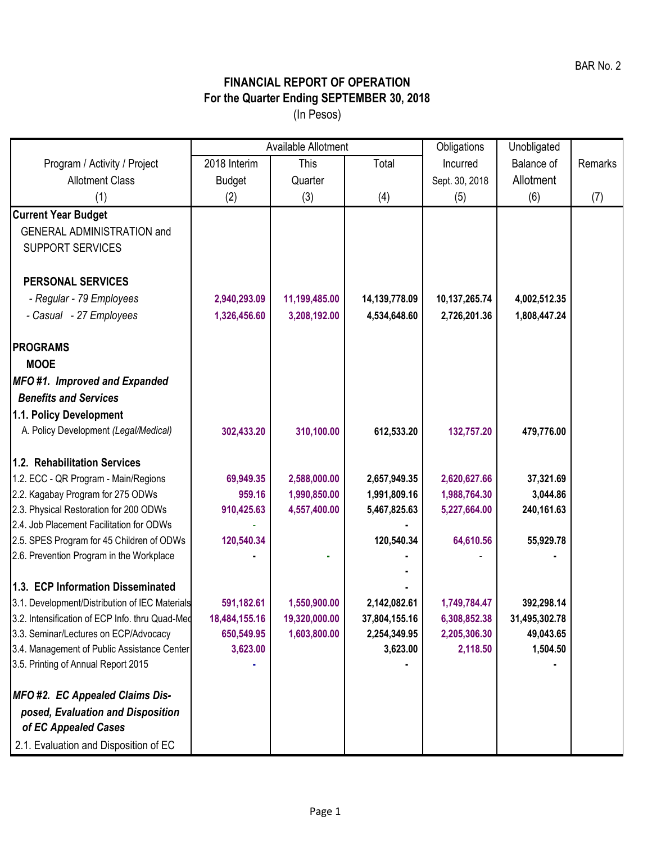## **FINANCIAL REPORT OF OPERATION For the Quarter Ending SEPTEMBER 30, 2018** (In Pesos)

|                                                 | Available Allotment |               |               | Obligations    | Unobligated       |         |
|-------------------------------------------------|---------------------|---------------|---------------|----------------|-------------------|---------|
| Program / Activity / Project                    | 2018 Interim        | This          | Total         | Incurred       | <b>Balance of</b> | Remarks |
| <b>Allotment Class</b>                          | <b>Budget</b>       | Quarter       |               | Sept. 30, 2018 | Allotment         |         |
| (1)                                             | (2)                 | (3)           | (4)           | (5)            | (6)               | (7)     |
| <b>Current Year Budget</b>                      |                     |               |               |                |                   |         |
| <b>GENERAL ADMINISTRATION and</b>               |                     |               |               |                |                   |         |
| <b>SUPPORT SERVICES</b>                         |                     |               |               |                |                   |         |
| <b>PERSONAL SERVICES</b>                        |                     |               |               |                |                   |         |
| - Regular - 79 Employees                        | 2,940,293.09        | 11,199,485.00 | 14,139,778.09 | 10,137,265.74  | 4,002,512.35      |         |
| - Casual - 27 Employees                         | 1,326,456.60        | 3,208,192.00  | 4,534,648.60  | 2,726,201.36   | 1,808,447.24      |         |
|                                                 |                     |               |               |                |                   |         |
| <b>PROGRAMS</b>                                 |                     |               |               |                |                   |         |
| <b>MOOE</b>                                     |                     |               |               |                |                   |         |
| MFO#1. Improved and Expanded                    |                     |               |               |                |                   |         |
| <b>Benefits and Services</b>                    |                     |               |               |                |                   |         |
| 1.1. Policy Development                         |                     |               |               |                |                   |         |
| A. Policy Development (Legal/Medical)           | 302,433.20          | 310,100.00    | 612,533.20    | 132,757.20     | 479,776.00        |         |
| 1.2. Rehabilitation Services                    |                     |               |               |                |                   |         |
| 1.2. ECC - QR Program - Main/Regions            | 69,949.35           | 2,588,000.00  | 2,657,949.35  | 2,620,627.66   | 37,321.69         |         |
| 2.2. Kagabay Program for 275 ODWs               | 959.16              | 1,990,850.00  | 1,991,809.16  | 1,988,764.30   | 3,044.86          |         |
| 2.3. Physical Restoration for 200 ODWs          | 910,425.63          | 4,557,400.00  | 5,467,825.63  | 5,227,664.00   | 240,161.63        |         |
| 2.4. Job Placement Facilitation for ODWs        |                     |               |               |                |                   |         |
| 2.5. SPES Program for 45 Children of ODWs       | 120,540.34          |               | 120,540.34    | 64,610.56      | 55,929.78         |         |
| 2.6. Prevention Program in the Workplace        |                     |               |               |                |                   |         |
| 1.3. ECP Information Disseminated               |                     |               |               |                |                   |         |
| 3.1. Development/Distribution of IEC Materials  | 591,182.61          | 1,550,900.00  | 2,142,082.61  | 1,749,784.47   | 392,298.14        |         |
| 3.2. Intensification of ECP Info. thru Quad-Med | 18,484,155.16       | 19,320,000.00 | 37,804,155.16 | 6,308,852.38   | 31,495,302.78     |         |
| 3.3. Seminar/Lectures on ECP/Advocacy           | 650,549.95          | 1,603,800.00  | 2,254,349.95  | 2,205,306.30   | 49,043.65         |         |
| 3.4. Management of Public Assistance Center     | 3,623.00            |               | 3,623.00      | 2,118.50       | 1,504.50          |         |
| 3.5. Printing of Annual Report 2015             |                     |               |               |                |                   |         |
| MFO #2. EC Appealed Claims Dis-                 |                     |               |               |                |                   |         |
| posed, Evaluation and Disposition               |                     |               |               |                |                   |         |
| of EC Appealed Cases                            |                     |               |               |                |                   |         |
| 2.1. Evaluation and Disposition of EC           |                     |               |               |                |                   |         |